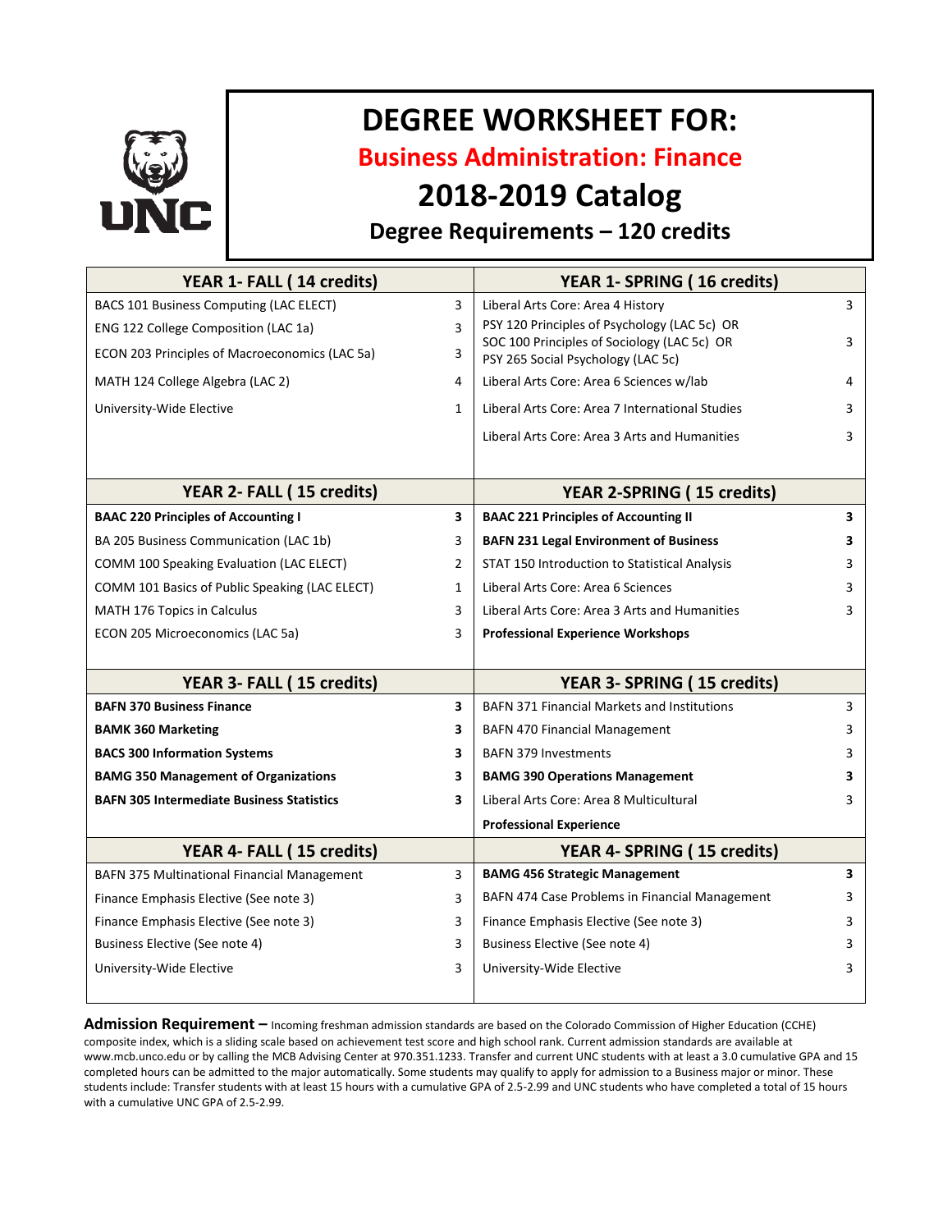

# **DEGREE WORKSHEET FOR:**

**Business Administration: Finance**

# **2018-2019 Catalog**

## **Degree Requirements – 120 credits**

| YEAR 1- FALL (14 credits)                        |                         | YEAR 1- SPRING (16 credits)                                                       |   |
|--------------------------------------------------|-------------------------|-----------------------------------------------------------------------------------|---|
| BACS 101 Business Computing (LAC ELECT)          | 3                       | Liberal Arts Core: Area 4 History                                                 | 3 |
| ENG 122 College Composition (LAC 1a)             | 3                       | PSY 120 Principles of Psychology (LAC 5c) OR                                      |   |
| ECON 203 Principles of Macroeconomics (LAC 5a)   | 3                       | SOC 100 Principles of Sociology (LAC 5c) OR<br>PSY 265 Social Psychology (LAC 5c) | 3 |
| MATH 124 College Algebra (LAC 2)                 | 4                       | Liberal Arts Core: Area 6 Sciences w/lab                                          | 4 |
| University-Wide Elective                         | $\mathbf{1}$            | Liberal Arts Core: Area 7 International Studies                                   | 3 |
|                                                  |                         | Liberal Arts Core: Area 3 Arts and Humanities                                     | 3 |
|                                                  |                         |                                                                                   |   |
| YEAR 2- FALL (15 credits)                        |                         | <b>YEAR 2-SPRING (15 credits)</b>                                                 |   |
| <b>BAAC 220 Principles of Accounting I</b>       | $\overline{\mathbf{3}}$ | <b>BAAC 221 Principles of Accounting II</b>                                       | 3 |
| BA 205 Business Communication (LAC 1b)           | 3                       | <b>BAFN 231 Legal Environment of Business</b>                                     | 3 |
| COMM 100 Speaking Evaluation (LAC ELECT)         | 2                       | STAT 150 Introduction to Statistical Analysis                                     | 3 |
| COMM 101 Basics of Public Speaking (LAC ELECT)   | $\mathbf{1}$            | Liberal Arts Core: Area 6 Sciences                                                | 3 |
| <b>MATH 176 Topics in Calculus</b>               | 3                       | Liberal Arts Core: Area 3 Arts and Humanities                                     | 3 |
| ECON 205 Microeconomics (LAC 5a)                 | 3                       | <b>Professional Experience Workshops</b>                                          |   |
|                                                  |                         |                                                                                   |   |
| YEAR 3- FALL (15 credits)                        |                         | YEAR 3- SPRING (15 credits)                                                       |   |
| <b>BAFN 370 Business Finance</b>                 | 3                       | <b>BAFN 371 Financial Markets and Institutions</b>                                | 3 |
| <b>BAMK 360 Marketing</b>                        | 3                       | <b>BAFN 470 Financial Management</b>                                              | 3 |
| <b>BACS 300 Information Systems</b>              | 3                       | <b>BAFN 379 Investments</b>                                                       | 3 |
| <b>BAMG 350 Management of Organizations</b>      | 3                       | <b>BAMG 390 Operations Management</b>                                             | 3 |
| <b>BAFN 305 Intermediate Business Statistics</b> | 3                       | Liberal Arts Core: Area 8 Multicultural                                           | 3 |
|                                                  |                         | <b>Professional Experience</b>                                                    |   |
| YEAR 4- FALL (15 credits)                        |                         | YEAR 4- SPRING (15 credits)                                                       |   |
| BAFN 375 Multinational Financial Management      | 3                       | <b>BAMG 456 Strategic Management</b>                                              | 3 |
| Finance Emphasis Elective (See note 3)           | 3                       | BAFN 474 Case Problems in Financial Management                                    | 3 |
| Finance Emphasis Elective (See note 3)           | 3                       | Finance Emphasis Elective (See note 3)                                            | 3 |
| Business Elective (See note 4)                   | 3                       | Business Elective (See note 4)                                                    | 3 |
| University-Wide Elective                         | 3                       | University-Wide Elective                                                          | 3 |
|                                                  |                         |                                                                                   |   |

**Admission Requirement –** Incoming freshman admission standards are based on the Colorado Commission of Higher Education (CCHE) composite index, which is a sliding scale based on achievement test score and high school rank. Current admission standards are available at www.mcb.unco.edu or by calling the MCB Advising Center at 970.351.1233. Transfer and current UNC students with at least a 3.0 cumulative GPA and 15 completed hours can be admitted to the major automatically. Some students may qualify to apply for admission to a Business major or minor. These students include: Transfer students with at least 15 hours with a cumulative GPA of 2.5-2.99 and UNC students who have completed a total of 15 hours with a cumulative UNC GPA of 2.5-2.99.